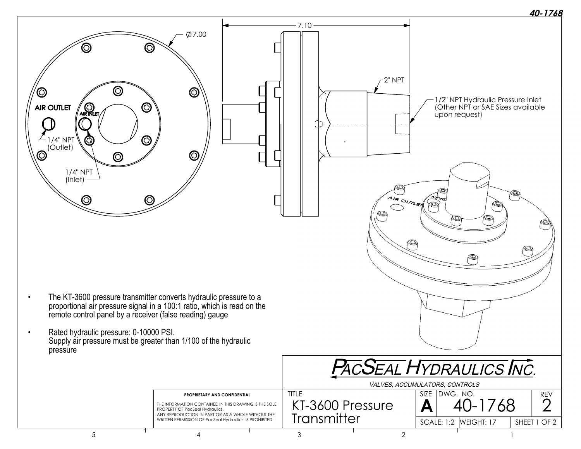